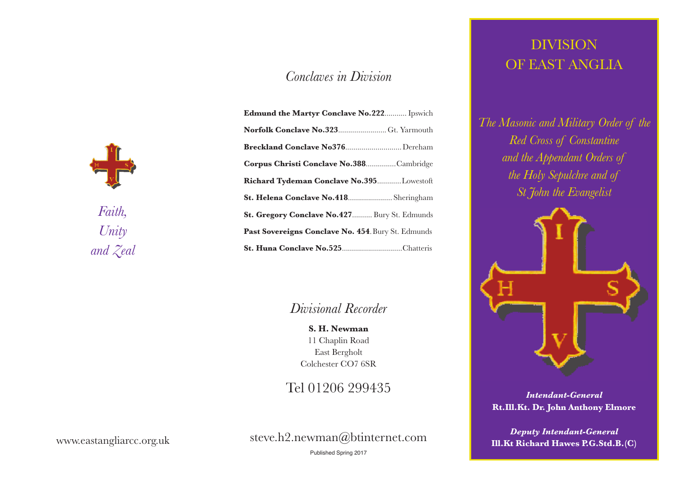#### *Conclaves in Division*

*Faith, Unity and Zeal*

| Edmund the Martyr Conclave No.222 Ipswich          |  |  |
|----------------------------------------------------|--|--|
| Norfolk Conclave No.323 Gt. Yarmouth               |  |  |
| Breckland Conclave No376 Dereham                   |  |  |
| Corpus Christi Conclave No.388Cambridge            |  |  |
| Richard Tydeman Conclave No.395Lowestoft           |  |  |
| St. Helena Conclave No.418 Sheringham              |  |  |
| St. Gregory Conclave No.427 Bury St. Edmunds       |  |  |
| Past Sovereigns Conclave No. 454. Bury St. Edmunds |  |  |
| St. Huna Conclave No.525Chatteris                  |  |  |

#### *Divisional Recorder*

**S. H. Newman** 11 Chaplin Road East Bergholt Colchester CO7 6SR

### Tel 01206 299435

steve.h2.newman@btinternet.com

### DIVISION OF EAST ANGLIA

*The Masonic and Military Order of the Red Cross of Constantine and the Appendant Orders of the Holy Sepulchre and of St John the Evangelist*



*Intendant-General* **Rt.Ill.Kt. Dr. John Anthony Elmore**

*Deputy Intendant-General* **Ill.Kt Richard Hawes P.G.Std.B.(C)**

www.eastangliarcc.org.uk

Published Spring 2017